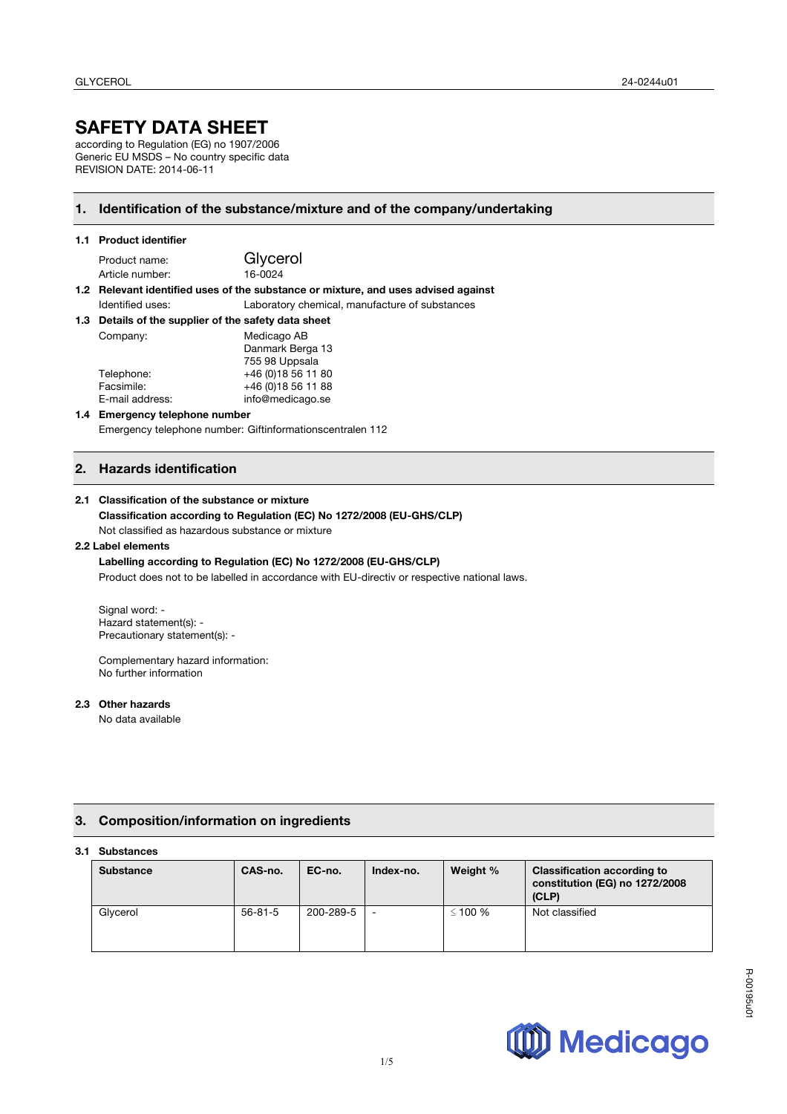# **SAFETY DATA SHEET**

according to Regulation (EG) no 1907/2006 Generic EU MSDS – No country specific data REVISION DATE: 2014-06-11

## **1. Identification of the substance/mixture and of the company/undertaking**

### **1.1 Product identifier**

Product name: Glycerol Article number: 16-0024

#### **1.2 Relevant identified uses of the substance or mixture, and uses advised against**  Identified uses: Laboratory chemical, manufacture of substances

| 1.3 Details of the supplier of the safety data sheet |                  |
|------------------------------------------------------|------------------|
| Company:                                             | Medicago AB      |
|                                                      | Danmark Berga 13 |

|                 | Dallillain Deiya Tu |
|-----------------|---------------------|
|                 | 755 98 Uppsala      |
| Telephone:      | +46 (0) 18 56 11 80 |
| Facsimile:      | +46 (0) 18 56 11 88 |
| E-mail address: | info@medicago.se    |
|                 |                     |

#### **1.4 Emergency telephone number**  Emergency telephone number: Giftinformationscentralen 112

## **2. Hazards identification**

#### **2.1 Classification of the substance or mixture**

#### **Classification according to Regulation (EC) No 1272/2008 (EU-GHS/CLP)** Not classified as hazardous substance or mixture

## **2.2 Label elements**

#### **Labelling according to Regulation (EC) No 1272/2008 (EU-GHS/CLP)** Product does not to be labelled in accordance with EU-directiv or respective national laws.

Signal word: -Hazard statement(s): - Precautionary statement(s): -

Complementary hazard information: No further information

### **2.3 Other hazards**

No data available

## **3. Composition/information on ingredients**

#### **3.1 Substances**

| -----------      |               |           |                          |           |                                                                               |
|------------------|---------------|-----------|--------------------------|-----------|-------------------------------------------------------------------------------|
| <b>Substance</b> | CAS-no.       | EC-no.    | Index-no.                | Weight %  | <b>Classification according to</b><br>constitution (EG) no 1272/2008<br>(CLP) |
| Glycerol         | $56 - 81 - 5$ | 200-289-5 | $\overline{\phantom{a}}$ | ≤ 100 $%$ | Not classified                                                                |

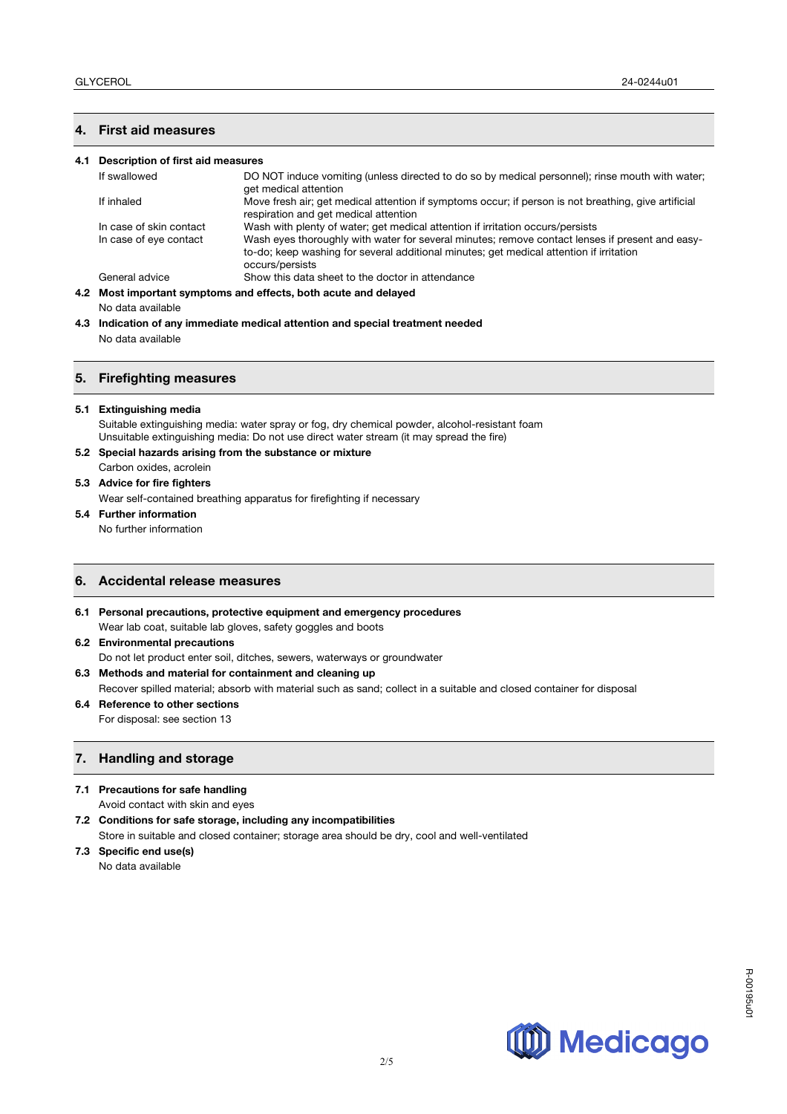## **4. First aid measures**

#### **4.1 Description of first aid measures**

| If swallowed            | DO NOT induce vomiting (unless directed to do so by medical personnel); rinse mouth with water;<br>get medical attention                                                                                      |
|-------------------------|---------------------------------------------------------------------------------------------------------------------------------------------------------------------------------------------------------------|
| If inhaled              | Move fresh air; get medical attention if symptoms occur; if person is not breathing, give artificial<br>respiration and get medical attention                                                                 |
| In case of skin contact | Wash with plenty of water; get medical attention if irritation occurs/persists                                                                                                                                |
| In case of eye contact  | Wash eyes thoroughly with water for several minutes; remove contact lenses if present and easy-<br>to-do; keep washing for several additional minutes; get medical attention if irritation<br>occurs/persists |
| General advice          | Show this data sheet to the doctor in attendance                                                                                                                                                              |
|                         | 4.2 Most important symptoms and effects, both acute and delayed                                                                                                                                               |

No data available

**4.3 Indication of any immediate medical attention and special treatment needed** No data available

#### **5. Firefighting measures**

#### **5.1 Extinguishing media**

Suitable extinguishing media: water spray or fog, dry chemical powder, alcohol-resistant foam Unsuitable extinguishing media: Do not use direct water stream (it may spread the fire)

#### **5.2 Special hazards arising from the substance or mixture**

- Carbon oxides, acrolein
- **5.3 Advice for fire fighters**

Wear self-contained breathing apparatus for firefighting if necessary

### **5.4 Further information**

No further information

## **6. Accidental release measures**

- **6.1 Personal precautions, protective equipment and emergency procedures** Wear lab coat, suitable lab gloves, safety goggles and boots
- **6.2 Environmental precautions**

Do not let product enter soil, ditches, sewers, waterways or groundwater

### **6.3 Methods and material for containment and cleaning up**

Recover spilled material; absorb with material such as sand; collect in a suitable and closed container for disposal

**6.4 Reference to other sections**  For disposal: see section 13

## **7. Handling and storage**

- **7.1 Precautions for safe handling** 
	- Avoid contact with skin and eyes
- **7.2 Conditions for safe storage, including any incompatibilities**  Store in suitable and closed container; storage area should be dry, cool and well-ventilated
- **7.3 Specific end use(s)**  No data available

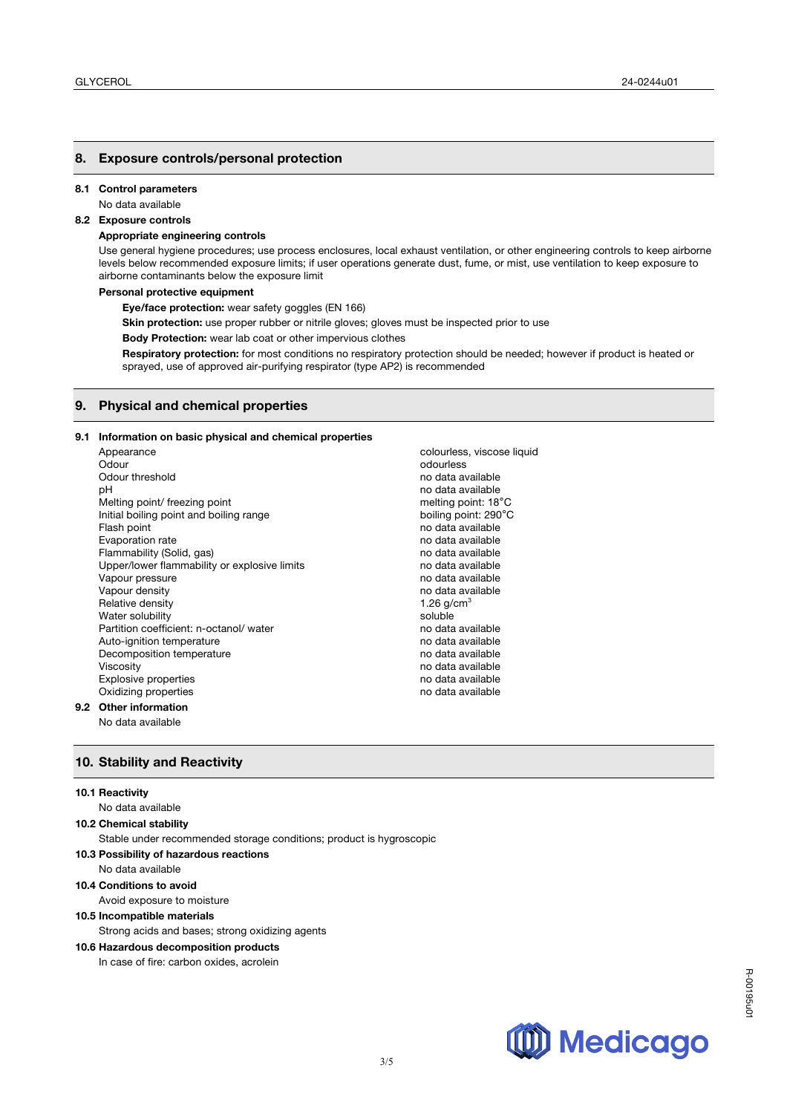#### **8. Exposure controls/personal protection**

#### **8.1 Control parameters**

No data available

## **8.2 Exposure controls**

### **Appropriate engineering controls**

Use general hygiene procedures; use process enclosures, local exhaust ventilation, or other engineering controls to keep airborne levels below recommended exposure limits; if user operations generate dust, fume, or mist, use ventilation to keep exposure to airborne contaminants below the exposure limit

#### **Personal protective equipment**

**Eye/face protection:** wear safety goggles (EN 166)

**Skin protection:** use proper rubber or nitrile gloves; gloves must be inspected prior to use

**Body Protection:** wear lab coat or other impervious clothes

**Respiratory protection:** for most conditions no respiratory protection should be needed; however if product is heated or sprayed, use of approved air-purifying respirator (type AP2) is recommended

#### **9. Physical and chemical properties**

#### **9.1 Information on basic physical and chemical properties**

Appearance colourless, viscose liquid Odour odourless odourless Odour threshold no data available no data available no data available pH<br>
Melting point/ freezing point<br>
Melting point: 18°C<br>
Melting point: 18°C Melting point/ freezing point Initial boiling point and boiling range boiling point: 290°C Flash point **Flash point** no data available Evaporation rate no data available Flammability (Solid, gas) no data available Upper/lower flammability or explosive limits no data available Vapour pressure no data available no data available Vapour density no data available no data available Relative density and the set of the set of the set of the set of the set of the set of the set of the set of t Water solubility<br>
Partition coefficient: n-octanol/ water<br>
Partition coefficient: n-octanol/ water Partition coefficient: n-octanol/ water Auto-ignition temperature no data available Decomposition temperature no data available no data available Viscosity no data available Explosive properties no data available<br>
Distribution of the contract of the contract of the contract of the contract of the contract of the contract o<br>
Distribution of the contract of the contract of the contract of the co Oxidizing properties

#### **9.2 Other information**

No data available

### **10. Stability and Reactivity**

#### **10.1 Reactivity**

## No data available

#### **10.2 Chemical stability**

Stable under recommended storage conditions; product is hygroscopic

- **10.3 Possibility of hazardous reactions** 
	- No data available

## **10.4 Conditions to avoid**

Avoid exposure to moisture

## **10.5 Incompatible materials**

Strong acids and bases; strong oxidizing agents

## **10.6 Hazardous decomposition products**

In case of fire: carbon oxides, acrolein



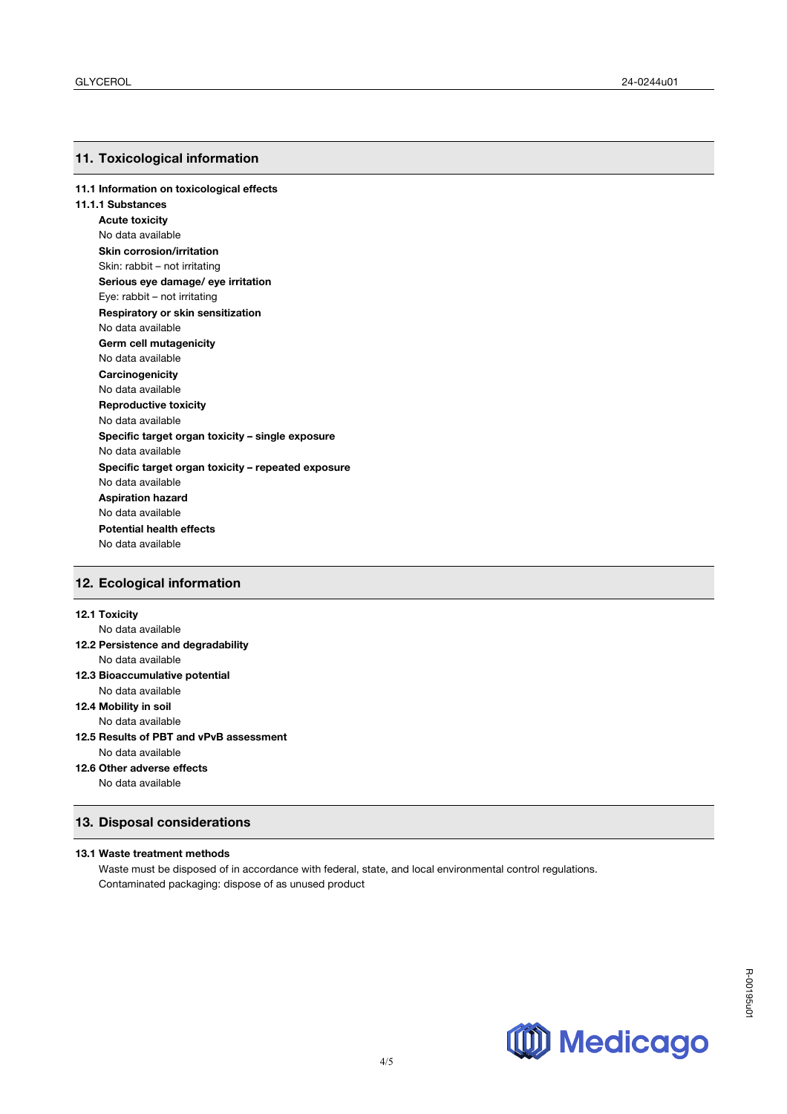#### **11. Toxicological information**

**11.1 Information on toxicological effects** 

**11.1.1 Substances Acute toxicity** No data available **Skin corrosion/irritation** Skin: rabbit – not irritating **Serious eye damage/ eye irritation** Eye: rabbit – not irritating **Respiratory or skin sensitization** No data available **Germ cell mutagenicity** No data available **Carcinogenicity** No data available **Reproductive toxicity** No data available **Specific target organ toxicity – single exposure** No data available **Specific target organ toxicity – repeated exposure** No data available **Aspiration hazard** No data available **Potential health effects**  No data available

## **12. Ecological information**

### **12.1 Toxicity**

No data available

- **12.2 Persistence and degradability** No data available
- **12.3 Bioaccumulative potential** No data available
- **12.4 Mobility in soil**
- No data available
- **12.5 Results of PBT and vPvB assessment** No data available
- **12.6 Other adverse effects**

No data available

### **13. Disposal considerations**

#### **13.1 Waste treatment methods**

Waste must be disposed of in accordance with federal, state, and local environmental control regulations. Contaminated packaging: dispose of as unused product